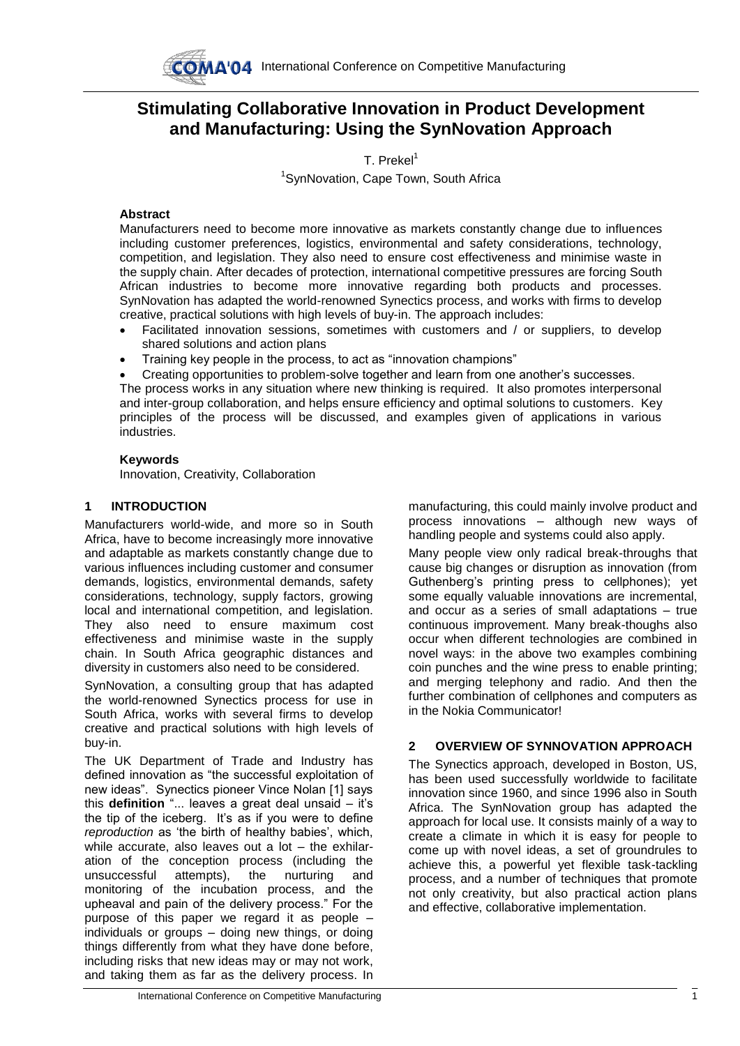

# **Stimulating Collaborative Innovation in Product Development and Manufacturing: Using the SynNovation Approach**

T. Prekel<sup>1</sup>

<sup>1</sup>SynNovation, Cape Town, South Africa

## **Abstract**

Manufacturers need to become more innovative as markets constantly change due to influences including customer preferences, logistics, environmental and safety considerations, technology, competition, and legislation. They also need to ensure cost effectiveness and minimise waste in the supply chain. After decades of protection, international competitive pressures are forcing South African industries to become more innovative regarding both products and processes. SynNovation has adapted the world-renowned Synectics process, and works with firms to develop creative, practical solutions with high levels of buy-in. The approach includes:

- Facilitated innovation sessions, sometimes with customers and / or suppliers, to develop shared solutions and action plans
- Training key people in the process, to act as "innovation champions"
- Creating opportunities to problem-solve together and learn from one another's successes.

The process works in any situation where new thinking is required. It also promotes interpersonal and inter-group collaboration, and helps ensure efficiency and optimal solutions to customers. Key principles of the process will be discussed, and examples given of applications in various industries.

## **Keywords**

Innovation, Creativity, Collaboration

## **1 INTRODUCTION**

Manufacturers world-wide, and more so in South Africa, have to become increasingly more innovative and adaptable as markets constantly change due to various influences including customer and consumer demands, logistics, environmental demands, safety considerations, technology, supply factors, growing local and international competition, and legislation. They also need to ensure maximum cost effectiveness and minimise waste in the supply chain. In South Africa geographic distances and diversity in customers also need to be considered.

SynNovation, a consulting group that has adapted the world-renowned Synectics process for use in South Africa, works with several firms to develop creative and practical solutions with high levels of buy-in.

The UK Department of Trade and Industry has defined innovation as "the successful exploitation of new ideas". Synectics pioneer Vince Nolan [1] says this **definition** "... leaves a great deal unsaid – it's the tip of the iceberg. It's as if you were to define *reproduction* as 'the birth of healthy babies', which, while accurate, also leaves out a lot – the exhilaration of the conception process (including the unsuccessful attempts), the nurturing and monitoring of the incubation process, and the upheaval and pain of the delivery process." For the purpose of this paper we regard it as people – individuals or groups – doing new things, or doing things differently from what they have done before, including risks that new ideas may or may not work, and taking them as far as the delivery process. In

manufacturing, this could mainly involve product and process innovations – although new ways of handling people and systems could also apply.

Many people view only radical break-throughs that cause big changes or disruption as innovation (from Guthenberg's printing press to cellphones); yet some equally valuable innovations are incremental, and occur as a series of small adaptations – true continuous improvement. Many break-thoughs also occur when different technologies are combined in novel ways: in the above two examples combining coin punches and the wine press to enable printing; and merging telephony and radio. And then the further combination of cellphones and computers as in the Nokia Communicator!

# **2 OVERVIEW OF SYNNOVATION APPROACH**

The Synectics approach, developed in Boston, US, has been used successfully worldwide to facilitate innovation since 1960, and since 1996 also in South Africa. The SynNovation group has adapted the approach for local use. It consists mainly of a way to create a climate in which it is easy for people to come up with novel ideas, a set of groundrules to achieve this, a powerful yet flexible task-tackling process, and a number of techniques that promote not only creativity, but also practical action plans and effective, collaborative implementation.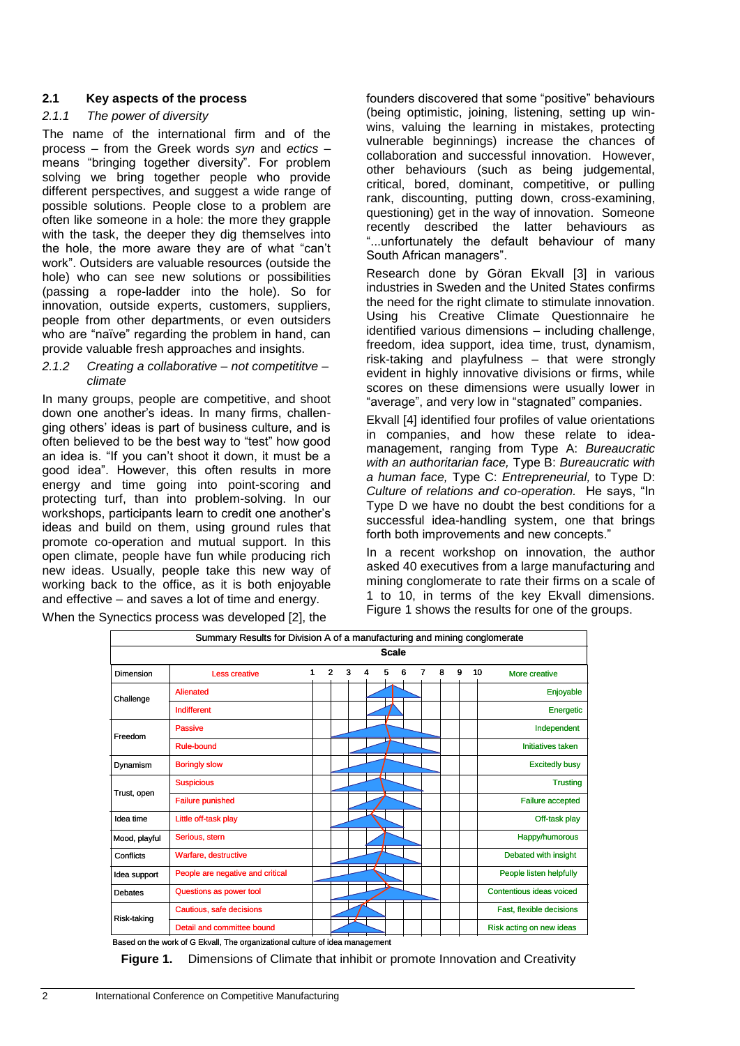## **2.1 Key aspects of the process**

#### *2.1.1 The power of diversity*

The name of the international firm and of the process – from the Greek words *syn* and *ectics –* means "bringing together diversity". For problem solving we bring together people who provide different perspectives, and suggest a wide range of possible solutions. People close to a problem are often like someone in a hole: the more they grapple with the task, the deeper they dig themselves into the hole, the more aware they are of what "can't work". Outsiders are valuable resources (outside the hole) who can see new solutions or possibilities (passing a rope-ladder into the hole). So for innovation, outside experts, customers, suppliers, people from other departments, or even outsiders who are "naïve" regarding the problem in hand, can provide valuable fresh approaches and insights.

#### *2.1.2 Creating a collaborative – not competititve – climate*

In many groups, people are competitive, and shoot down one another's ideas. In many firms, challenging others' ideas is part of business culture, and is often believed to be the best way to "test" how good an idea is. "If you can't shoot it down, it must be a good idea". However, this often results in more energy and time going into point-scoring and protecting turf, than into problem-solving. In our workshops, participants learn to credit one another's ideas and build on them, using ground rules that promote co-operation and mutual support. In this open climate, people have fun while producing rich new ideas. Usually, people take this new way of working back to the office, as it is both enjoyable and effective – and saves a lot of time and energy.

founders discovered that some "positive" behaviours (being optimistic, joining, listening, setting up winwins, valuing the learning in mistakes, protecting vulnerable beginnings) increase the chances of collaboration and successful innovation. However, other behaviours (such as being judgemental, critical, bored, dominant, competitive, or pulling rank, discounting, putting down, cross-examining, questioning) get in the way of innovation. Someone recently described the latter behaviours as "...unfortunately the default behaviour of many South African managers".

Research done by Göran Ekvall [3] in various industries in Sweden and the United States confirms the need for the right climate to stimulate innovation. Using his Creative Climate Questionnaire he identified various dimensions – including challenge, freedom, idea support, idea time, trust, dynamism, risk-taking and playfulness – that were strongly evident in highly innovative divisions or firms, while scores on these dimensions were usually lower in "average", and very low in "stagnated" companies.

Ekvall [4] identified four profiles of value orientations in companies, and how these relate to ideamanagement, ranging from Type A: *Bureaucratic with an authoritarian face,* Type B: *Bureaucratic with a human face,* Type C: *Entrepreneurial,* to Type D: *Culture of relations and co-operation.* He says, "In Type D we have no doubt the best conditions for a successful idea-handling system, one that brings forth both improvements and new concepts."

In a recent workshop on innovation, the author asked 40 executives from a large manufacturing and mining conglomerate to rate their firms on a scale of 1 to 10, in terms of the key Ekvall dimensions. Figure 1 shows the results for one of the groups.

| Summary Results for Division A of a manufacturing and mining conglomerate |                                  |   |              |   |   |              |   |   |  |   |   |                          |                          |
|---------------------------------------------------------------------------|----------------------------------|---|--------------|---|---|--------------|---|---|--|---|---|--------------------------|--------------------------|
|                                                                           |                                  |   |              |   |   | <b>Scale</b> |   |   |  |   |   |                          |                          |
| Dimension                                                                 | <b>Less creative</b>             | 1 | $\mathbf{2}$ | 3 | 4 | 5            | 6 | 7 |  | 8 | 9 | 10                       | More creative            |
| Challenge                                                                 | <b>Alienated</b>                 |   |              |   |   |              |   |   |  |   |   |                          | Enjoyable                |
|                                                                           | Indifferent                      |   |              |   |   |              |   |   |  |   |   |                          | Energetic                |
| Freedom                                                                   | Passive                          |   |              |   |   |              |   |   |  |   |   | Independent              |                          |
|                                                                           | Rule-bound                       |   |              |   |   |              |   |   |  |   |   | <b>Initiatives taken</b> |                          |
| Dynamism                                                                  | <b>Boringly slow</b>             |   |              |   |   |              |   |   |  |   |   |                          | <b>Excitedly busy</b>    |
|                                                                           | <b>Suspicious</b>                |   |              |   |   |              |   |   |  |   |   |                          | <b>Trusting</b>          |
| Trust, open                                                               | <b>Failure punished</b>          |   |              |   |   |              |   |   |  |   |   |                          | Failure accepted         |
| Idea time                                                                 | Little off-task play             |   |              |   |   |              |   |   |  |   |   |                          | Off-task play            |
| Mood, playful                                                             | Serious, stern                   |   |              |   |   |              |   |   |  |   |   |                          | Happy/humorous           |
| Conflicts                                                                 | Warfare, destructive             |   |              |   |   |              |   |   |  |   |   |                          | Debated with insight     |
| Idea support                                                              | People are negative and critical |   |              |   |   |              |   |   |  |   |   |                          | People listen helpfully  |
| <b>Debates</b>                                                            | Questions as power tool          |   |              |   |   |              |   |   |  |   |   |                          | Contentious ideas voiced |
| Risk-taking                                                               | Cautious, safe decisions         |   |              |   |   |              |   |   |  |   |   |                          | Fast, flexible decisions |
|                                                                           | Detail and committee bound       |   |              |   |   |              |   |   |  |   |   |                          | Risk acting on new ideas |

When the Synectics process was developed [2], the

Based on the work of G Ekvall, The organizational culture of idea management

**Figure 1.** Dimensions of Climate that inhibit or promote Innovation and Creativity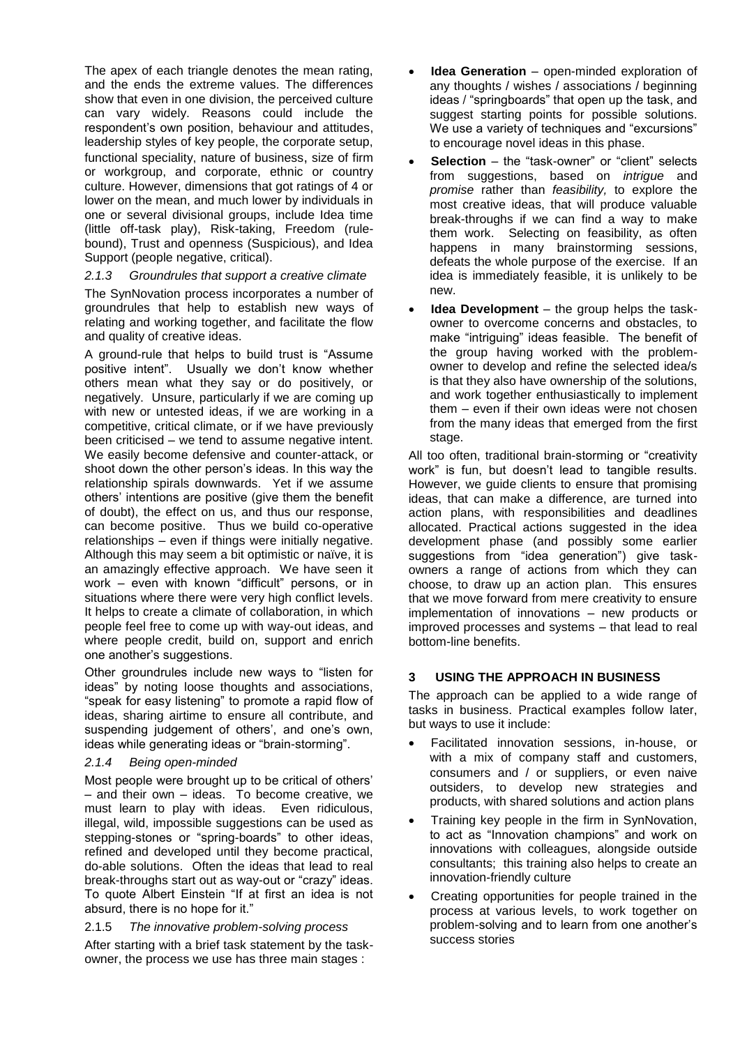The apex of each triangle denotes the mean rating, and the ends the extreme values. The differences show that even in one division, the perceived culture can vary widely. Reasons could include the respondent's own position, behaviour and attitudes, leadership styles of key people, the corporate setup, functional speciality, nature of business, size of firm or workgroup, and corporate, ethnic or country culture. However, dimensions that got ratings of 4 or lower on the mean, and much lower by individuals in one or several divisional groups, include Idea time (little off-task play), Risk-taking, Freedom (rulebound), Trust and openness (Suspicious), and Idea Support (people negative, critical).

## *2.1.3 Groundrules that support a creative climate*

The SynNovation process incorporates a number of groundrules that help to establish new ways of relating and working together, and facilitate the flow and quality of creative ideas.

A ground-rule that helps to build trust is "Assume positive intent". Usually we don't know whether others mean what they say or do positively, or negatively. Unsure, particularly if we are coming up with new or untested ideas, if we are working in a competitive, critical climate, or if we have previously been criticised – we tend to assume negative intent. We easily become defensive and counter-attack, or shoot down the other person's ideas. In this way the relationship spirals downwards. Yet if we assume others' intentions are positive (give them the benefit of doubt), the effect on us, and thus our response, can become positive. Thus we build co-operative relationships – even if things were initially negative. Although this may seem a bit optimistic or naïve, it is an amazingly effective approach. We have seen it work – even with known "difficult" persons, or in situations where there were very high conflict levels. It helps to create a climate of collaboration, in which people feel free to come up with way-out ideas, and where people credit, build on, support and enrich one another's suggestions.

Other groundrules include new ways to "listen for ideas" by noting loose thoughts and associations, "speak for easy listening" to promote a rapid flow of ideas, sharing airtime to ensure all contribute, and suspending judgement of others', and one's own, ideas while generating ideas or "brain-storming".

#### *2.1.4 Being open-minded*

Most people were brought up to be critical of others' – and their own – ideas. To become creative, we must learn to play with ideas. Even ridiculous, illegal, wild, impossible suggestions can be used as stepping-stones or "spring-boards" to other ideas, refined and developed until they become practical, do-able solutions. Often the ideas that lead to real break-throughs start out as way-out or "crazy" ideas. To quote Albert Einstein "If at first an idea is not absurd, there is no hope for it."

## 2.1.5 *The innovative problem-solving process*

After starting with a brief task statement by the taskowner, the process we use has three main stages :

- **Idea Generation** open-minded exploration of any thoughts / wishes / associations / beginning ideas / "springboards" that open up the task, and suggest starting points for possible solutions. We use a variety of techniques and "excursions" to encourage novel ideas in this phase.
- **Selection** the "task-owner" or "client" selects from suggestions, based on *intrigue* and *promise* rather than *feasibility,* to explore the most creative ideas, that will produce valuable break-throughs if we can find a way to make them work. Selecting on feasibility, as often happens in many brainstorming sessions, defeats the whole purpose of the exercise. If an idea is immediately feasible, it is unlikely to be new.
- **Idea Development** the group helps the taskowner to overcome concerns and obstacles, to make "intriguing" ideas feasible. The benefit of the group having worked with the problemowner to develop and refine the selected idea/s is that they also have ownership of the solutions, and work together enthusiastically to implement them – even if their own ideas were not chosen from the many ideas that emerged from the first stage.

All too often, traditional brain-storming or "creativity work" is fun, but doesn't lead to tangible results. However, we guide clients to ensure that promising ideas, that can make a difference, are turned into action plans, with responsibilities and deadlines allocated. Practical actions suggested in the idea development phase (and possibly some earlier suggestions from "idea generation") give taskowners a range of actions from which they can choose, to draw up an action plan. This ensures that we move forward from mere creativity to ensure implementation of innovations – new products or improved processes and systems – that lead to real bottom-line benefits.

## **3 USING THE APPROACH IN BUSINESS**

The approach can be applied to a wide range of tasks in business. Practical examples follow later, but ways to use it include:

- Facilitated innovation sessions, in-house, or with a mix of company staff and customers, consumers and / or suppliers, or even naive outsiders, to develop new strategies and products, with shared solutions and action plans
- Training key people in the firm in SynNovation, to act as "Innovation champions" and work on innovations with colleagues, alongside outside consultants; this training also helps to create an innovation-friendly culture
- Creating opportunities for people trained in the process at various levels, to work together on problem-solving and to learn from one another's success stories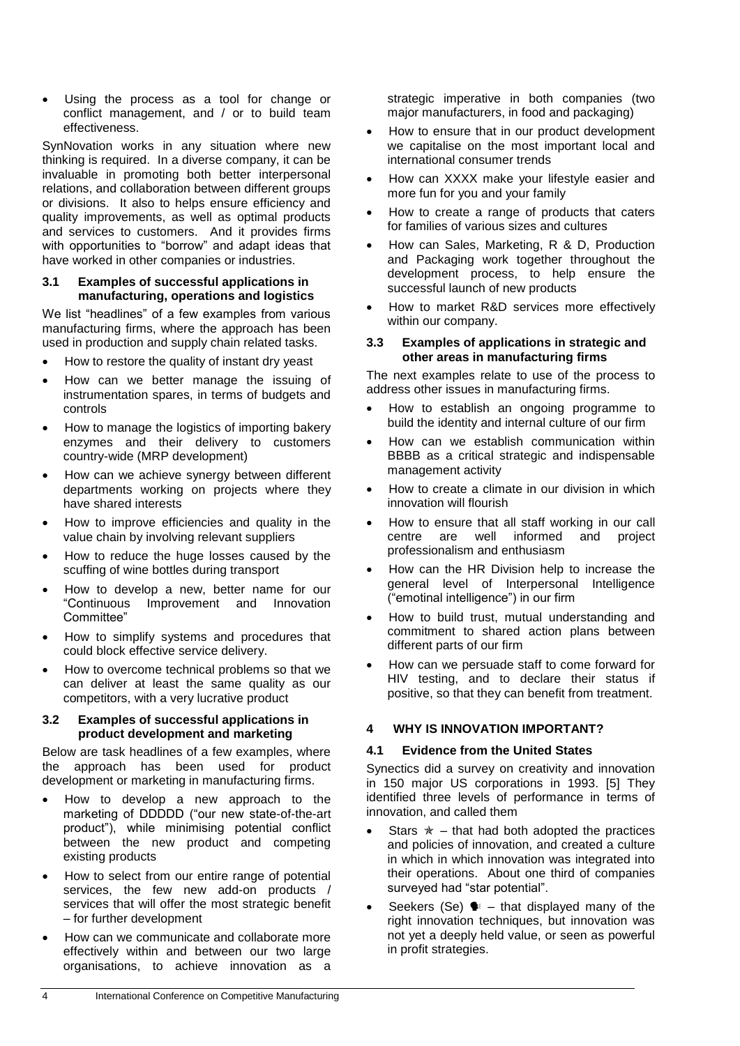Using the process as a tool for change or conflict management, and / or to build team effectiveness.

SynNovation works in any situation where new thinking is required. In a diverse company, it can be invaluable in promoting both better interpersonal relations, and collaboration between different groups or divisions. It also to helps ensure efficiency and quality improvements, as well as optimal products and services to customers. And it provides firms with opportunities to "borrow" and adapt ideas that have worked in other companies or industries.

#### **3.1 Examples of successful applications in manufacturing, operations and logistics**

We list "headlines" of a few examples from various manufacturing firms, where the approach has been used in production and supply chain related tasks.

- How to restore the quality of instant dry yeast
- How can we better manage the issuing of instrumentation spares, in terms of budgets and controls
- How to manage the logistics of importing bakery enzymes and their delivery to customers country-wide (MRP development)
- How can we achieve synergy between different departments working on projects where they have shared interests
- How to improve efficiencies and quality in the value chain by involving relevant suppliers
- How to reduce the huge losses caused by the scuffing of wine bottles during transport
- How to develop a new, better name for our "Continuous Improvement and Innovation Committee"
- How to simplify systems and procedures that could block effective service delivery.
- How to overcome technical problems so that we can deliver at least the same quality as our competitors, with a very lucrative product

#### **3.2 Examples of successful applications in product development and marketing**

Below are task headlines of a few examples, where the approach has been used for product development or marketing in manufacturing firms.

- How to develop a new approach to the marketing of DDDDD ("our new state-of-the-art product"), while minimising potential conflict between the new product and competing existing products
- How to select from our entire range of potential services, the few new add-on products / services that will offer the most strategic benefit – for further development
- How can we communicate and collaborate more effectively within and between our two large organisations, to achieve innovation as a

strategic imperative in both companies (two major manufacturers, in food and packaging)

- How to ensure that in our product development we capitalise on the most important local and international consumer trends
- How can XXXX make your lifestyle easier and more fun for you and your family
- How to create a range of products that caters for families of various sizes and cultures
- How can Sales, Marketing, R & D, Production and Packaging work together throughout the development process, to help ensure the successful launch of new products
- How to market R&D services more effectively within our company.

#### **3.3 Examples of applications in strategic and other areas in manufacturing firms**

The next examples relate to use of the process to address other issues in manufacturing firms.

- How to establish an ongoing programme to build the identity and internal culture of our firm
- How can we establish communication within BBBB as a critical strategic and indispensable management activity
- How to create a climate in our division in which innovation will flourish
- How to ensure that all staff working in our call centre are well informed and project professionalism and enthusiasm
- How can the HR Division help to increase the general level of Interpersonal Intelligence ("emotinal intelligence") in our firm
- How to build trust, mutual understanding and commitment to shared action plans between different parts of our firm
- How can we persuade staff to come forward for HIV testing, and to declare their status if positive, so that they can benefit from treatment.

## **4 WHY IS INNOVATION IMPORTANT?**

## **4.1 Evidence from the United States**

Synectics did a survey on creativity and innovation in 150 major US corporations in 1993. [5] They identified three levels of performance in terms of innovation, and called them

- Stars  $\dot{x}$  that had both adopted the practices and policies of innovation, and created a culture in which in which innovation was integrated into their operations. About one third of companies surveyed had "star potential".
- Seekers (Se)  $\blacklozenge$  that displayed many of the right innovation techniques, but innovation was not yet a deeply held value, or seen as powerful in profit strategies.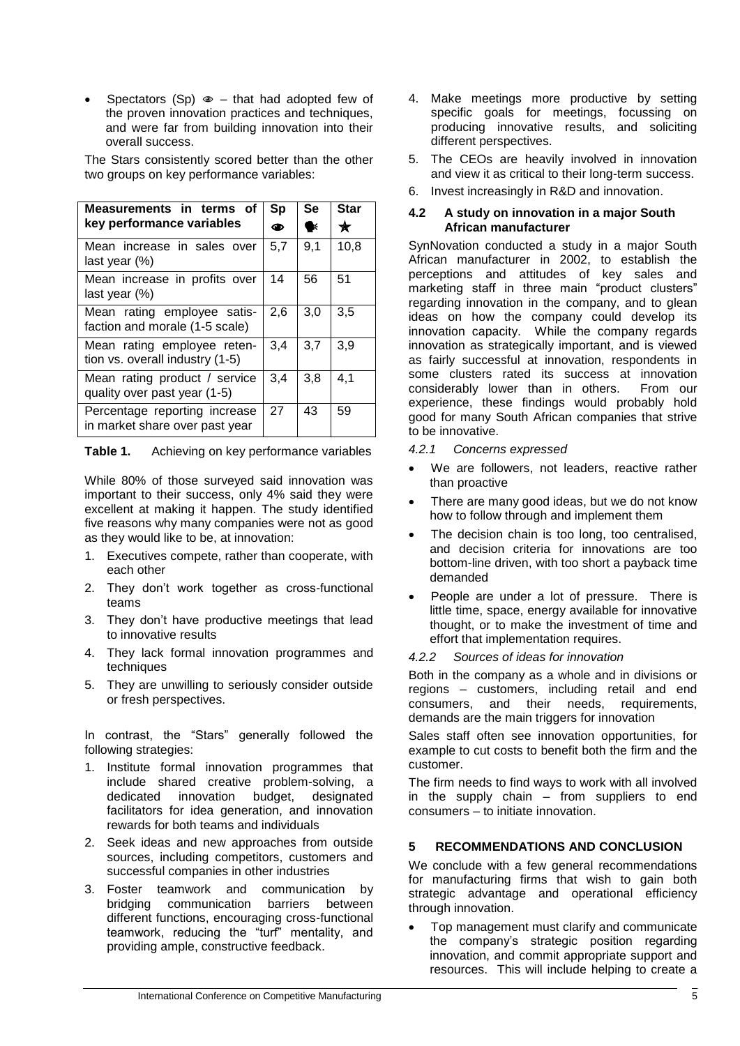Spectators (Sp)  $\infty$  – that had adopted few of the proven innovation practices and techniques, and were far from building innovation into their overall success.

The Stars consistently scored better than the other two groups on key performance variables:

| Measurements in terms of<br>key performance variables           | Sp<br>◉ | <b>Se</b><br>UK. | <b>Star</b><br>★ |
|-----------------------------------------------------------------|---------|------------------|------------------|
| Mean increase in sales over<br>last year $(\%)$                 | 5,7     | 9,1              | 10,8             |
| Mean increase in profits over<br>last year $(\%)$               | 14      | 56               | 51               |
| Mean rating employee satis-<br>faction and morale (1-5 scale)   | 2.6     | 3,0              | 3,5              |
| Mean rating employee reten-<br>tion vs. overall industry (1-5)  | 3,4     | 3,7              | 3,9              |
| Mean rating product / service<br>quality over past year (1-5)   | 3,4     | 3,8              | 4,1              |
| Percentage reporting increase<br>in market share over past year | 27      | 43               | 59               |

**Table 1.** Achieving on key performance variables

While 80% of those surveyed said innovation was important to their success, only 4% said they were excellent at making it happen. The study identified five reasons why many companies were not as good as they would like to be, at innovation:

- 1. Executives compete, rather than cooperate, with each other
- 2. They don't work together as cross-functional teams
- 3. They don't have productive meetings that lead to innovative results
- 4. They lack formal innovation programmes and techniques
- 5. They are unwilling to seriously consider outside or fresh perspectives.

In contrast, the "Stars" generally followed the following strategies:

- 1. Institute formal innovation programmes that include shared creative problem-solving, a dedicated innovation budget, designated facilitators for idea generation, and innovation rewards for both teams and individuals
- 2. Seek ideas and new approaches from outside sources, including competitors, customers and successful companies in other industries
- 3. Foster teamwork and communication by bridging communication barriers between different functions, encouraging cross-functional teamwork, reducing the "turf" mentality, and providing ample, constructive feedback.
- 4. Make meetings more productive by setting specific goals for meetings, focussing on producing innovative results, and soliciting different perspectives.
- 5. The CEOs are heavily involved in innovation and view it as critical to their long-term success.
- 6. Invest increasingly in R&D and innovation.

#### **4.2 A study on innovation in a major South African manufacturer**

SynNovation conducted a study in a major South African manufacturer in 2002, to establish the perceptions and attitudes of key sales and marketing staff in three main "product clusters" regarding innovation in the company, and to glean ideas on how the company could develop its innovation capacity. While the company regards innovation as strategically important, and is viewed as fairly successful at innovation, respondents in some clusters rated its success at innovation considerably lower than in others. From our experience, these findings would probably hold good for many South African companies that strive to be innovative.

- *4.2.1 Concerns expressed*
- We are followers, not leaders, reactive rather than proactive
- There are many good ideas, but we do not know how to follow through and implement them
- The decision chain is too long, too centralised, and decision criteria for innovations are too bottom-line driven, with too short a payback time demanded
- People are under a lot of pressure. There is little time, space, energy available for innovative thought, or to make the investment of time and effort that implementation requires.
- *4.2.2 Sources of ideas for innovation*

Both in the company as a whole and in divisions or regions – customers, including retail and end consumers, and their needs, requirements, demands are the main triggers for innovation

Sales staff often see innovation opportunities, for example to cut costs to benefit both the firm and the customer.

The firm needs to find ways to work with all involved in the supply chain – from suppliers to end consumers – to initiate innovation.

# **5 RECOMMENDATIONS AND CONCLUSION**

We conclude with a few general recommendations for manufacturing firms that wish to gain both strategic advantage and operational efficiency through innovation.

 Top management must clarify and communicate the company's strategic position regarding innovation, and commit appropriate support and resources. This will include helping to create a